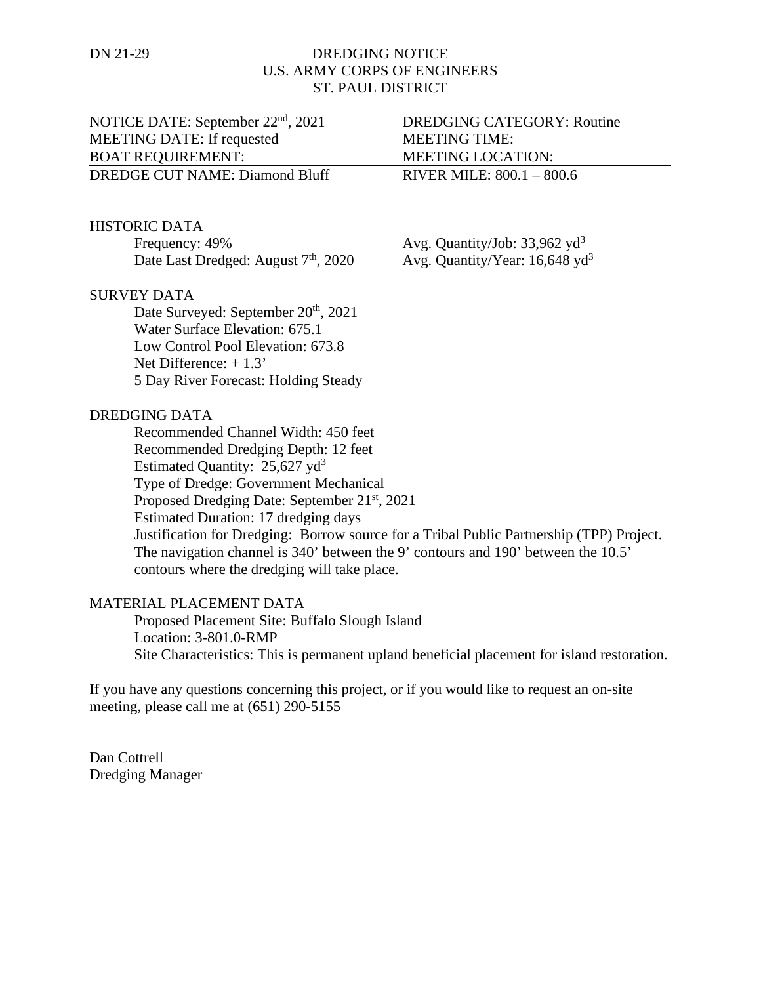# DN 21-29 DREDGING NOTICE U.S. ARMY CORPS OF ENGINEERS ST. PAUL DISTRICT

NOTICE DATE: September 22<sup>nd</sup>, 2021 DREDGING CATEGORY: Routine MEETING DATE: If requested MEETING TIME: BOAT REQUIREMENT: MEETING LOCATION: DREDGE CUT NAME: Diamond Bluff RIVER MILE: 800.1 – 800.6

#### HISTORIC DATA

Frequency: 49% Avg. Quantity/Job: 33,962 yd<sup>3</sup><br>Date Last Dredged: August 7<sup>th</sup>, 2020 Avg. Quantity/Year: 16,648 yd<sup>3</sup> Date Last Dredged: August  $7<sup>th</sup>$ , 2020

## SURVEY DATA

Date Surveyed: September 20<sup>th</sup>, 2021 Water Surface Elevation: 675.1 Low Control Pool Elevation: 673.8 Net Difference: + 1.3' 5 Day River Forecast: Holding Steady

#### DREDGING DATA

Recommended Channel Width: 450 feet Recommended Dredging Depth: 12 feet Estimated Quantity:  $25,627$  yd<sup>3</sup> Type of Dredge: Government Mechanical Proposed Dredging Date: September 21<sup>st</sup>, 2021 Estimated Duration: 17 dredging days Justification for Dredging: Borrow source for a Tribal Public Partnership (TPP) Project. The navigation channel is 340' between the 9' contours and 190' between the 10.5' contours where the dredging will take place.

### MATERIAL PLACEMENT DATA

Proposed Placement Site: Buffalo Slough Island Location: 3-801.0-RMP Site Characteristics: This is permanent upland beneficial placement for island restoration.

If you have any questions concerning this project, or if you would like to request an on-site meeting, please call me at (651) 290-5155

Dan Cottrell Dredging Manager